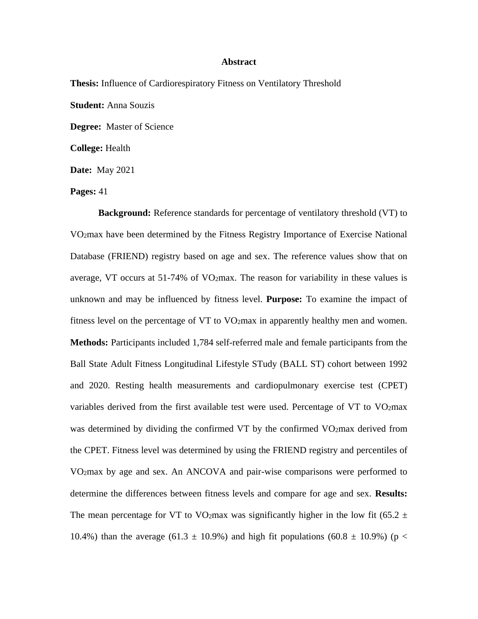## **Abstract**

**Thesis:** Influence of Cardiorespiratory Fitness on Ventilatory Threshold **Student:** Anna Souzis **Degree:** Master of Science **College:** Health **Date:** May 2021

**Pages:** 41

**Background:** Reference standards for percentage of ventilatory threshold (VT) to VO2max have been determined by the Fitness Registry Importance of Exercise National Database (FRIEND) registry based on age and sex. The reference values show that on average, VT occurs at 51-74% of VO2max. The reason for variability in these values is unknown and may be influenced by fitness level. **Purpose:** To examine the impact of fitness level on the percentage of VT to VO2max in apparently healthy men and women. **Methods:** Participants included 1,784 self-referred male and female participants from the Ball State Adult Fitness Longitudinal Lifestyle STudy (BALL ST) cohort between 1992 and 2020. Resting health measurements and cardiopulmonary exercise test (CPET) variables derived from the first available test were used. Percentage of VT to  $VO<sub>2</sub>max$ was determined by dividing the confirmed VT by the confirmed VO2max derived from the CPET. Fitness level was determined by using the FRIEND registry and percentiles of VO2max by age and sex. An ANCOVA and pair-wise comparisons were performed to determine the differences between fitness levels and compare for age and sex. **Results:**  The mean percentage for VT to VO<sub>2</sub>max was significantly higher in the low fit (65.2  $\pm$ 10.4%) than the average (61.3  $\pm$  10.9%) and high fit populations (60.8  $\pm$  10.9%) (p <